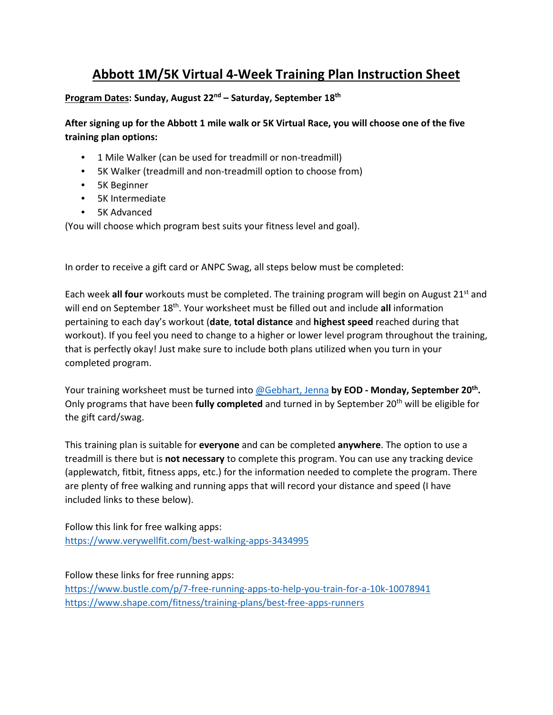## **Abbott 1M/5K Virtual 4-Week Training Plan Instruction Sheet**

#### **Program Dates: Sunday, August 22nd – Saturday, September 18th**

**After signing up for the Abbott 1 mile walk or 5K Virtual Race, you will choose one of the five training plan options:**

- 1 Mile Walker (can be used for treadmill or non-treadmill)
- 5K Walker (treadmill and non-treadmill option to choose from)
- 5K Beginner
- 5K Intermediate
- 5K Advanced

(You will choose which program best suits your fitness level and goal).

In order to receive a gift card or ANPC Swag, all steps below must be completed:

Each week **all four** workouts must be completed. The training program will begin on August 21st and will end on September 18<sup>th</sup>. Your worksheet must be filled out and include all information pertaining to each day's workout (**date**, **total distance** and **highest speed** reached during that workout). If you feel you need to change to a higher or lower level program throughout the training, that is perfectly okay! Just make sure to include both plans utilized when you turn in your completed program.

Your training worksheet must be turned into [@Gebhart, Jenna](mailto:jenna.gebhart@abbott.com) **by EOD - Monday, September 20th.** Only programs that have been fully completed and turned in by September 20<sup>th</sup> will be eligible for the gift card/swag.

This training plan is suitable for **everyone** and can be completed **anywhere**. The option to use a treadmill is there but is **not necessary** to complete this program. You can use any tracking device (applewatch, fitbit, fitness apps, etc.) for the information needed to complete the program. There are plenty of free walking and running apps that will record your distance and speed (I have included links to these below).

Follow this link for free walking apps: <https://www.verywellfit.com/best-walking-apps-3434995>

Follow these links for free running apps:

<https://www.bustle.com/p/7-free-running-apps-to-help-you-train-for-a-10k-10078941> <https://www.shape.com/fitness/training-plans/best-free-apps-runners>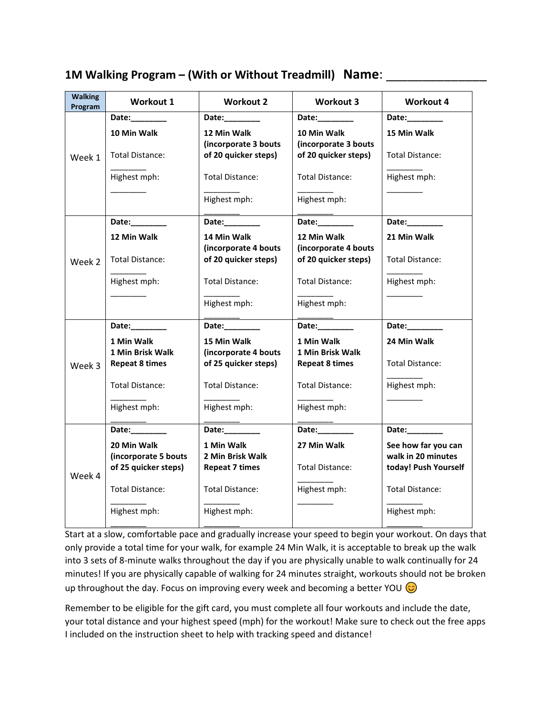| <b>Walking</b><br>Program | <b>Workout 1</b>                                                                                                                                                                                                               | <b>Workout 2</b>                                                                                                                                                                                                               | <b>Workout 3</b>                             | <b>Workout 4</b>                          |
|---------------------------|--------------------------------------------------------------------------------------------------------------------------------------------------------------------------------------------------------------------------------|--------------------------------------------------------------------------------------------------------------------------------------------------------------------------------------------------------------------------------|----------------------------------------------|-------------------------------------------|
| Week 1                    | Date:________                                                                                                                                                                                                                  | Date:________                                                                                                                                                                                                                  | Date:________                                | Date:_________                            |
|                           | 10 Min Walk                                                                                                                                                                                                                    | 12 Min Walk<br>(incorporate 3 bouts                                                                                                                                                                                            | 10 Min Walk<br>(incorporate 3 bouts          | 15 Min Walk                               |
|                           | Total Distance:                                                                                                                                                                                                                | of 20 quicker steps)                                                                                                                                                                                                           | of 20 quicker steps)                         | <b>Total Distance:</b>                    |
|                           | Highest mph:                                                                                                                                                                                                                   | <b>Total Distance:</b>                                                                                                                                                                                                         | Total Distance:                              | Highest mph:                              |
|                           |                                                                                                                                                                                                                                | Highest mph:                                                                                                                                                                                                                   | Highest mph:                                 |                                           |
|                           | Date:________                                                                                                                                                                                                                  | Date:________                                                                                                                                                                                                                  | Date:________                                | Date:_________                            |
|                           | 12 Min Walk                                                                                                                                                                                                                    | 14 Min Walk                                                                                                                                                                                                                    | 12 Min Walk                                  | 21 Min Walk                               |
| Week 2                    | Total Distance:                                                                                                                                                                                                                | (incorporate 4 bouts<br>of 20 quicker steps)                                                                                                                                                                                   | (incorporate 4 bouts<br>of 20 quicker steps) | <b>Total Distance:</b>                    |
|                           | Highest mph:                                                                                                                                                                                                                   | Total Distance:                                                                                                                                                                                                                | <b>Total Distance:</b>                       | Highest mph:                              |
|                           |                                                                                                                                                                                                                                | Highest mph:                                                                                                                                                                                                                   | Highest mph:                                 |                                           |
|                           | Date: the control of the control of the control of the control of the control of the control of the control of the control of the control of the control of the control of the control of the control of the control of the co | Date: the control of the control of the control of the control of the control of the control of the control of the control of the control of the control of the control of the control of the control of the control of the co | Date:________                                | Date:________                             |
|                           | 1 Min Walk                                                                                                                                                                                                                     | 15 Min Walk                                                                                                                                                                                                                    | 1 Min Walk                                   | 24 Min Walk                               |
|                           | <b>1 Min Brisk Walk</b>                                                                                                                                                                                                        | (incorporate 4 bouts                                                                                                                                                                                                           | 1 Min Brisk Walk                             |                                           |
| Week 3                    | <b>Repeat 8 times</b>                                                                                                                                                                                                          | of 25 quicker steps)                                                                                                                                                                                                           | <b>Repeat 8 times</b>                        | Total Distance:                           |
|                           | <b>Total Distance:</b>                                                                                                                                                                                                         | <b>Total Distance:</b>                                                                                                                                                                                                         | <b>Total Distance:</b>                       | Highest mph:                              |
|                           | Highest mph:                                                                                                                                                                                                                   | Highest mph:                                                                                                                                                                                                                   | Highest mph:                                 |                                           |
|                           | Date:_________                                                                                                                                                                                                                 | Date:_________                                                                                                                                                                                                                 | Date:________                                | Date:_________                            |
| Week 4                    | 20 Min Walk<br>(incorporate 5 bouts                                                                                                                                                                                            | 1 Min Walk<br>2 Min Brisk Walk                                                                                                                                                                                                 | 27 Min Walk                                  | See how far you can<br>walk in 20 minutes |
|                           | of 25 quicker steps)                                                                                                                                                                                                           | <b>Repeat 7 times</b>                                                                                                                                                                                                          | Total Distance:                              | today! Push Yourself                      |
|                           | <b>Total Distance:</b>                                                                                                                                                                                                         | <b>Total Distance:</b>                                                                                                                                                                                                         | Highest mph:                                 | <b>Total Distance:</b>                    |
|                           | Highest mph:                                                                                                                                                                                                                   | Highest mph:                                                                                                                                                                                                                   |                                              | Highest mph:                              |
|                           |                                                                                                                                                                                                                                |                                                                                                                                                                                                                                |                                              |                                           |

#### **1M Walking Program – (With or Without Treadmill) Name**: \_\_\_\_\_\_\_\_\_\_\_\_\_\_

Start at a slow, comfortable pace and gradually increase your speed to begin your workout. On days that only provide a total time for your walk, for example 24 Min Walk, it is acceptable to break up the walk into 3 sets of 8-minute walks throughout the day if you are physically unable to walk continually for 24 minutes! If you are physically capable of walking for 24 minutes straight, workouts should not be broken up throughout the day. Focus on improving every week and becoming a better YOU  $\odot$ 

Remember to be eligible for the gift card, you must complete all four workouts and include the date, your total distance and your highest speed (mph) for the workout! Make sure to check out the free apps I included on the instruction sheet to help with tracking speed and distance!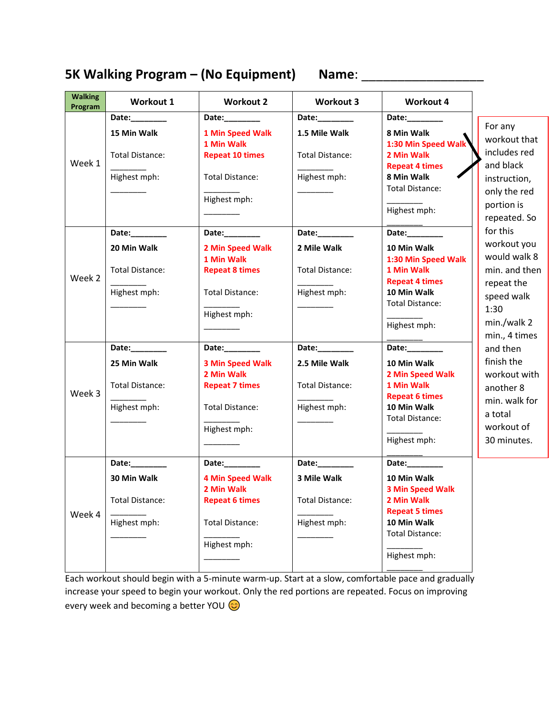# **5K Walking Program – (No Equipment) Name**: \_\_\_\_\_\_\_\_\_\_\_\_\_\_\_\_\_

| <b>Walking</b><br>Program | <b>Workout 1</b>                                                    | <b>Workout 2</b>                                                                                                          | <b>Workout 3</b>                                                       | <b>Workout 4</b>                                                                                                                                     |                                                                                                                                                                                                                                  |
|---------------------------|---------------------------------------------------------------------|---------------------------------------------------------------------------------------------------------------------------|------------------------------------------------------------------------|------------------------------------------------------------------------------------------------------------------------------------------------------|----------------------------------------------------------------------------------------------------------------------------------------------------------------------------------------------------------------------------------|
|                           | Date:________                                                       | Date:________                                                                                                             | Date:________                                                          | Date: $\frac{1}{2}$                                                                                                                                  |                                                                                                                                                                                                                                  |
| Week 1                    | 15 Min Walk<br>Total Distance:<br>Highest mph:                      | 1 Min Speed Walk<br>1 Min Walk<br><b>Repeat 10 times</b><br>Total Distance:<br>Highest mph:                               | 1.5 Mile Walk<br><b>Total Distance:</b><br>Highest mph:                | 8 Min Walk<br>1:30 Min Speed Walk<br>2 Min Walk<br><b>Repeat 4 times</b><br>8 Min Walk<br><b>Total Distance:</b><br>Highest mph:                     | For any<br>workout that<br>includes red<br>and black<br>instruction,<br>only the red<br>portion is<br>repeated. So                                                                                                               |
|                           | Date:                                                               | Date:________                                                                                                             | Date:________                                                          | Date:________                                                                                                                                        | for this                                                                                                                                                                                                                         |
| Week 2                    | 20 Min Walk<br>Total Distance:<br>Highest mph:                      | 2 Min Speed Walk<br>1 Min Walk<br><b>Repeat 8 times</b><br><b>Total Distance:</b><br>Highest mph:                         | 2 Mile Walk<br>Total Distance:<br>Highest mph:                         | 10 Min Walk<br>1:30 Min Speed Walk<br>1 Min Walk<br><b>Repeat 4 times</b><br>10 Min Walk<br><b>Total Distance:</b><br>Highest mph:                   | workout you<br>would walk 8<br>min. and then<br>repeat the<br>speed walk<br>1:30<br>min./walk 2<br>min., 4 times<br>and then<br>finish the<br>workout with<br>another 8<br>min. walk for<br>a total<br>workout of<br>30 minutes. |
| Week 3                    | Date:________<br>25 Min Walk<br>Total Distance:<br>Highest mph:     | Date: $\frac{1}{2}$<br><b>3 Min Speed Walk</b><br>2 Min Walk<br><b>Repeat 7 times</b><br>Total Distance:<br>Highest mph:  | Date:________<br>2.5 Mile Walk<br>Total Distance:<br>Highest mph:      | Date:________<br>10 Min Walk<br>2 Min Speed Walk<br>1 Min Walk<br><b>Repeat 6 times</b><br>10 Min Walk<br>Total Distance:<br>Highest mph:            |                                                                                                                                                                                                                                  |
| Week 4                    | Date: $\_$<br>30 Min Walk<br><b>Total Distance:</b><br>Highest mph: | Date:________<br><b>4 Min Speed Walk</b><br>2 Min Walk<br><b>Repeat 6 times</b><br><b>Total Distance:</b><br>Highest mph: | Date:________<br>3 Mile Walk<br><b>Total Distance:</b><br>Highest mph: | Date: $\_$<br>10 Min Walk<br><b>3 Min Speed Walk</b><br>2 Min Walk<br><b>Repeat 5 times</b><br>10 Min Walk<br><b>Total Distance:</b><br>Highest mph: |                                                                                                                                                                                                                                  |

Each workout should begin with a 5-minute warm-up. Start at a slow, comfortable pace and gradually increase your speed to begin your workout. Only the red portions are repeated. Focus on improving every week and becoming a better YOU  $\odot$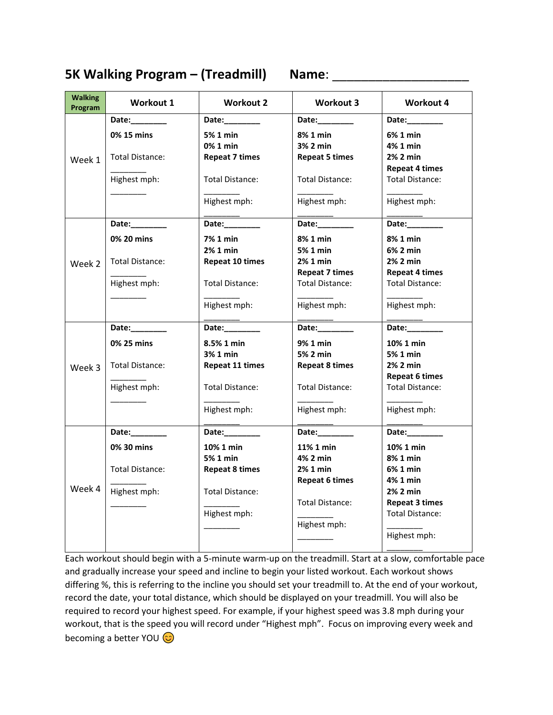### **5K Walking Program – (Treadmill) Name**: \_\_\_\_\_\_\_\_\_\_\_\_\_\_\_\_\_\_\_

| <b>Walking</b><br>Program | <b>Workout 1</b> | <b>Workout 2</b>                                                                                               | <b>Workout 3</b>       | <b>Workout 4</b>       |
|---------------------------|------------------|----------------------------------------------------------------------------------------------------------------|------------------------|------------------------|
|                           | Date:            | Date: and the state of the state of the state of the state of the state of the state of the state of the state | Date:                  | Date:                  |
| Week 1                    | 0% 15 mins       | 5% 1 min                                                                                                       | 8% 1 min               | 6% 1 min               |
|                           |                  | 0% 1 min                                                                                                       | 3% 2 min               | 4% 1 min               |
|                           | Total Distance:  | <b>Repeat 7 times</b>                                                                                          | <b>Repeat 5 times</b>  | 2% 2 min               |
|                           |                  |                                                                                                                |                        | Repeat 4 times         |
|                           | Highest mph:     | <b>Total Distance:</b>                                                                                         | Total Distance:        | <b>Total Distance:</b> |
|                           |                  | Highest mph:                                                                                                   | Highest mph:           | Highest mph:           |
|                           | Date:________    | Date:________                                                                                                  | Date:_________         | Date:________          |
|                           | 0% 20 mins       | 7% 1 min                                                                                                       | 8% 1 min               | 8% 1 min               |
|                           |                  | 2% 1 min                                                                                                       | 5% 1 min               | 6% 2 min               |
| Week 2                    | Total Distance:  | <b>Repeat 10 times</b>                                                                                         | 2% 1 min               | 2% 2 min               |
|                           |                  |                                                                                                                | <b>Repeat 7 times</b>  | Repeat 4 times         |
|                           | Highest mph:     | <b>Total Distance:</b>                                                                                         | <b>Total Distance:</b> | <b>Total Distance:</b> |
|                           |                  |                                                                                                                |                        |                        |
|                           |                  | Highest mph:                                                                                                   | Highest mph:           | Highest mph:           |
|                           | Date:            | Date:_________                                                                                                 | Date:______            | Date:                  |
|                           | 0% 25 mins       | 8.5% 1 min                                                                                                     | 9% 1 min               | 10% 1 min              |
|                           |                  | 3% 1 min                                                                                                       | 5% 2 min               | 5% 1 min               |
| Week 3                    | Total Distance:  | <b>Repeat 11 times</b>                                                                                         | <b>Repeat 8 times</b>  | 2% 2 min               |
|                           |                  |                                                                                                                |                        | <b>Repeat 6 times</b>  |
|                           | Highest mph:     | <b>Total Distance:</b>                                                                                         | <b>Total Distance:</b> | <b>Total Distance:</b> |
|                           |                  | Highest mph:                                                                                                   | Highest mph:           | Highest mph:           |
|                           |                  |                                                                                                                |                        |                        |
|                           | Date:            | Date:________                                                                                                  | Date:                  | Date:                  |
| Week 4                    | 0% 30 mins       | 10% 1 min                                                                                                      | 11% 1 min              | 10% 1 min              |
|                           |                  | 5% 1 min                                                                                                       | 4% 2 min               | 8% 1 min               |
|                           | Total Distance:  | <b>Repeat 8 times</b>                                                                                          | 2% 1 min               | 6% 1 min               |
|                           | Highest mph:     | <b>Total Distance:</b>                                                                                         | <b>Repeat 6 times</b>  | 4% 1 min<br>2% 2 min   |
|                           |                  |                                                                                                                | Total Distance:        | <b>Repeat 3 times</b>  |
|                           |                  | Highest mph:                                                                                                   |                        | Total Distance:        |
|                           |                  |                                                                                                                | Highest mph:           |                        |
|                           |                  |                                                                                                                |                        | Highest mph:           |
|                           |                  |                                                                                                                |                        |                        |

Each workout should begin with a 5-minute warm-up on the treadmill. Start at a slow, comfortable pace and gradually increase your speed and incline to begin your listed workout. Each workout shows differing %, this is referring to the incline you should set your treadmill to. At the end of your workout, record the date, your total distance, which should be displayed on your treadmill. You will also be required to record your highest speed. For example, if your highest speed was 3.8 mph during your workout, that is the speed you will record under "Highest mph". Focus on improving every week and becoming a better YOU  $\odot$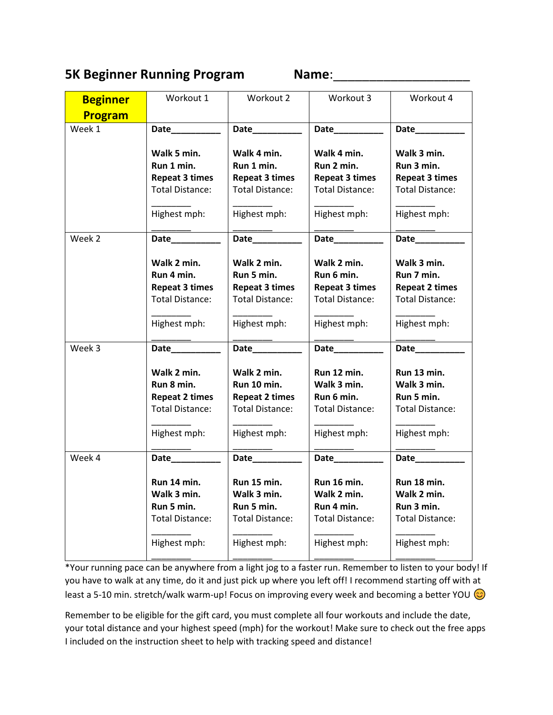### **5K Beginner Running Program Name:** Name:

| <b>Beginner</b> | Workout 1                                                                                    | Workout 2                                                                                     | Workout 3                                                                                    | Workout 4                                                                                    |
|-----------------|----------------------------------------------------------------------------------------------|-----------------------------------------------------------------------------------------------|----------------------------------------------------------------------------------------------|----------------------------------------------------------------------------------------------|
| <b>Program</b>  |                                                                                              |                                                                                               |                                                                                              |                                                                                              |
| Week 1          | Date__________                                                                               | Date_________                                                                                 | Date_________                                                                                | Date________                                                                                 |
|                 | Walk 5 min.<br>Run 1 min.<br><b>Repeat 3 times</b><br><b>Total Distance:</b>                 | Walk 4 min.<br>Run 1 min.<br><b>Repeat 3 times</b><br><b>Total Distance:</b>                  | Walk 4 min.<br>Run 2 min.<br><b>Repeat 3 times</b><br><b>Total Distance:</b>                 | Walk 3 min.<br>Run 3 min.<br><b>Repeat 3 times</b><br><b>Total Distance:</b>                 |
|                 | Highest mph:                                                                                 | Highest mph:                                                                                  | Highest mph:                                                                                 | Highest mph:                                                                                 |
| Week 2          | Date__________                                                                               | Date_________                                                                                 | Date_________                                                                                | Date https://www.france.com/                                                                 |
|                 | Walk 2 min.<br>Run 4 min.<br><b>Repeat 3 times</b><br><b>Total Distance:</b><br>Highest mph: | Walk 2 min.<br>Run 5 min.<br><b>Repeat 3 times</b><br><b>Total Distance:</b><br>Highest mph:  | Walk 2 min.<br>Run 6 min.<br><b>Repeat 3 times</b><br><b>Total Distance:</b><br>Highest mph: | Walk 3 min.<br>Run 7 min.<br><b>Repeat 2 times</b><br><b>Total Distance:</b><br>Highest mph: |
| Week 3          | Date <u>Date</u>                                                                             | Date________                                                                                  |                                                                                              | Date https://www.france.com/                                                                 |
|                 | Walk 2 min.<br>Run 8 min.<br><b>Repeat 2 times</b><br><b>Total Distance:</b><br>Highest mph: | Walk 2 min.<br>Run 10 min.<br><b>Repeat 2 times</b><br><b>Total Distance:</b><br>Highest mph: | Run 12 min.<br>Walk 3 min.<br>Run 6 min.<br><b>Total Distance:</b><br>Highest mph:           | Run 13 min.<br>Walk 3 min.<br>Run 5 min.<br><b>Total Distance:</b><br>Highest mph:           |
| Week 4          | Date____________                                                                             | Date__________                                                                                | Date_________                                                                                | Date                                                                                         |
|                 | Run 14 min.<br>Walk 3 min.<br>Run 5 min.<br><b>Total Distance:</b><br>Highest mph:           | Run 15 min.<br>Walk 3 min.<br>Run 5 min.<br><b>Total Distance:</b><br>Highest mph:            | Run 16 min.<br>Walk 2 min.<br>Run 4 min.<br><b>Total Distance:</b><br>Highest mph:           | Run 18 min.<br>Walk 2 min.<br>Run 3 min.<br><b>Total Distance:</b><br>Highest mph:           |

\*Your running pace can be anywhere from a light jog to a faster run. Remember to listen to your body! If you have to walk at any time, do it and just pick up where you left off! I recommend starting off with at least a 5-10 min. stretch/walk warm-up! Focus on improving every week and becoming a better YOU  $\odot$ 

Remember to be eligible for the gift card, you must complete all four workouts and include the date, your total distance and your highest speed (mph) for the workout! Make sure to check out the free apps I included on the instruction sheet to help with tracking speed and distance!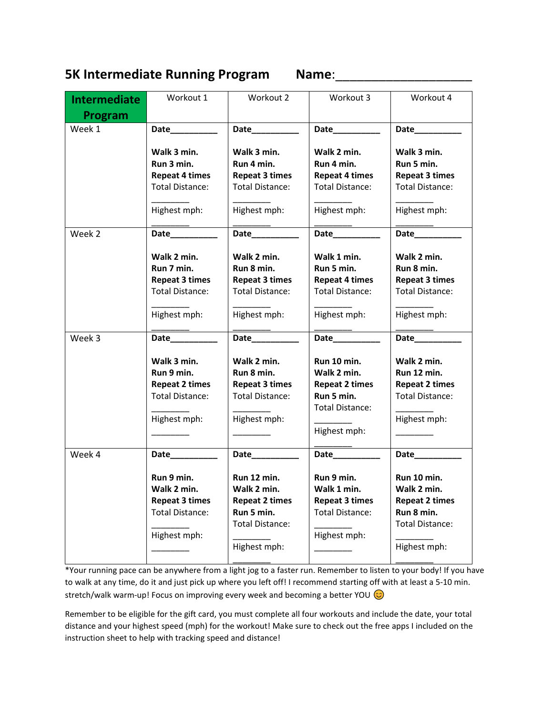### **5K Intermediate Running Program Name**:\_\_\_\_\_\_\_\_\_\_\_\_\_\_\_\_\_\_\_

| <b>Intermediate</b> | Workout 1                                                                                                       | Workout 2                                                                                                                      | Workout 3                                                                                                       | Workout 4                                                                                                                    |
|---------------------|-----------------------------------------------------------------------------------------------------------------|--------------------------------------------------------------------------------------------------------------------------------|-----------------------------------------------------------------------------------------------------------------|------------------------------------------------------------------------------------------------------------------------------|
| Program             |                                                                                                                 |                                                                                                                                |                                                                                                                 |                                                                                                                              |
| Week 1              | Date___________                                                                                                 | Date__________                                                                                                                 | Date_________                                                                                                   | Date_________                                                                                                                |
|                     | Walk 3 min.<br>Run 3 min.<br><b>Repeat 4 times</b><br><b>Total Distance:</b><br>Highest mph:                    | Walk 3 min.<br>Run 4 min.<br><b>Repeat 3 times</b><br><b>Total Distance:</b><br>Highest mph:                                   | Walk 2 min.<br>Run 4 min.<br><b>Repeat 4 times</b><br><b>Total Distance:</b><br>Highest mph:                    | Walk 3 min.<br>Run 5 min.<br><b>Repeat 3 times</b><br><b>Total Distance:</b><br>Highest mph:                                 |
|                     |                                                                                                                 |                                                                                                                                |                                                                                                                 |                                                                                                                              |
| Week 2              | Walk 2 min.<br>Run 7 min.                                                                                       | Date__________<br>Walk 2 min.<br>Run 8 min.                                                                                    | Date___________<br>Walk 1 min.<br>Run 5 min.                                                                    | Walk 2 min.<br>Run 8 min.                                                                                                    |
|                     | <b>Repeat 3 times</b><br><b>Total Distance:</b>                                                                 | <b>Repeat 3 times</b><br><b>Total Distance:</b>                                                                                | <b>Repeat 4 times</b><br><b>Total Distance:</b>                                                                 | <b>Repeat 3 times</b><br><b>Total Distance:</b>                                                                              |
|                     | Highest mph:                                                                                                    | Highest mph:                                                                                                                   | Highest mph:                                                                                                    | Highest mph:                                                                                                                 |
| Week 3              |                                                                                                                 |                                                                                                                                | Date__________                                                                                                  |                                                                                                                              |
|                     | Walk 3 min.<br>Run 9 min.<br><b>Repeat 2 times</b><br><b>Total Distance:</b><br>Highest mph:                    | Walk 2 min.<br>Run 8 min.<br><b>Repeat 3 times</b><br><b>Total Distance:</b><br>Highest mph:                                   | Run 10 min.<br>Walk 2 min.<br><b>Repeat 2 times</b><br>Run 5 min.<br>Total Distance:<br>Highest mph:            | Walk 2 min.<br>Run 12 min.<br><b>Repeat 2 times</b><br><b>Total Distance:</b><br>Highest mph:                                |
| Week 4              | Date___________<br>Run 9 min.<br>Walk 2 min.<br><b>Repeat 3 times</b><br><b>Total Distance:</b><br>Highest mph: | Date___________<br>Run 12 min.<br>Walk 2 min.<br><b>Repeat 2 times</b><br>Run 5 min.<br><b>Total Distance:</b><br>Highest mph: | Date___________<br>Run 9 min.<br>Walk 1 min.<br><b>Repeat 3 times</b><br><b>Total Distance:</b><br>Highest mph: | Date_________<br>Run 10 min.<br>Walk 2 min.<br><b>Repeat 2 times</b><br>Run 8 min.<br><b>Total Distance:</b><br>Highest mph: |

\*Your running pace can be anywhere from a light jog to a faster run. Remember to listen to your body! If you have to walk at any time, do it and just pick up where you left off! I recommend starting off with at least a 5-10 min. stretch/walk warm-up! Focus on improving every week and becoming a better YOU  $\odot$ 

Remember to be eligible for the gift card, you must complete all four workouts and include the date, your total distance and your highest speed (mph) for the workout! Make sure to check out the free apps I included on the instruction sheet to help with tracking speed and distance!